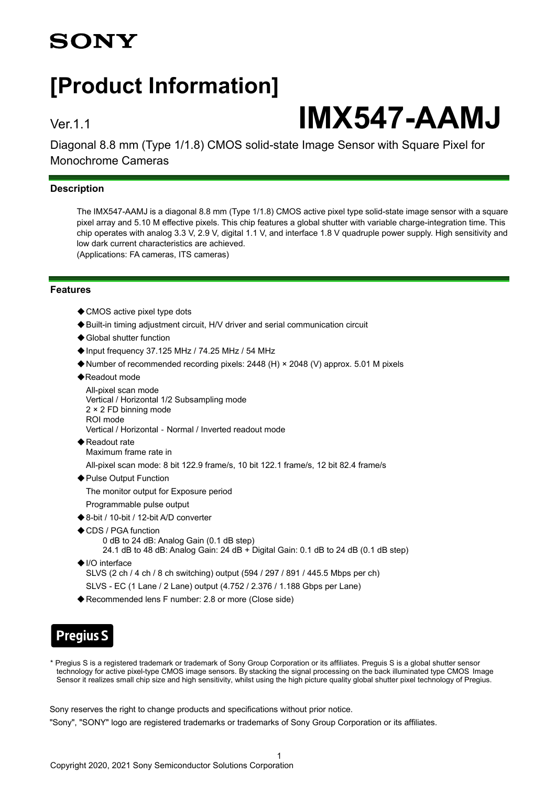## **SONY**

## **[Product Information]**

# Ver.1.1 **IMX547-AAMJ**

Diagonal 8.8 mm (Type 1/1.8) CMOS solid-state Image Sensor with Square Pixel for Monochrome Cameras

#### **Description**

The IMX547-AAMJ is a diagonal 8.8 mm (Type 1/1.8) CMOS active pixel type solid-state image sensor with a square pixel array and 5.10 M effective pixels. This chip features a global shutter with variable charge-integration time. This chip operates with analog 3.3 V, 2.9 V, digital 1.1 V, and interface 1.8 V quadruple power supply. High sensitivity and low dark current characteristics are achieved. (Applications: FA cameras, ITS cameras)

**Features**

- ◆ CMOS active pixel type dots
- ◆Built-in timing adjustment circuit, H/V driver and serial communication circuit
- ◆ Global shutter function
- ◆Input frequency 37.125 MHz / 74.25 MHz / 54 MHz
- ◆Number of recommended recording pixels: 2448 (H) × 2048 (V) approx. 5.01 M pixels
- ◆Readout mode

```
All-pixel scan mode
Vertical / Horizontal 1/2 Subsampling mode
2 × 2 FD binning mode
ROI mode
Vertical / Horizontal - Normal / Inverted readout mode
```
- ◆Readout rate Maximum frame rate in
	- All-pixel scan mode: 8 bit 122.9 frame/s, 10 bit 122.1 frame/s, 12 bit 82.4 frame/s
- ◆ Pulse Output Function

The monitor output for Exposure period

- Programmable pulse output
- ◆8-bit / 10-bit / 12-bit A/D converter
- ◆CDS / PGA function 0 dB to 24 dB: Analog Gain (0.1 dB step) 24.1 dB to 48 dB: Analog Gain: 24 dB + Digital Gain: 0.1 dB to 24 dB (0.1 dB step)
- ◆I/O interface
	- SLVS (2 ch / 4 ch / 8 ch switching) output (594 / 297 / 891 / 445.5 Mbps per ch)
	- SLVS EC (1 Lane / 2 Lane) output (4.752 / 2.376 / 1.188 Gbps per Lane)
- ◆Recommended lens F number: 2.8 or more (Close side)

## **Pregius S**

\* Pregius S is a registered trademark or trademark of Sony Group Corporation or its affiliates. Preguis S is a global shutter sensor technology for active pixel-type CMOS image sensors. By stacking the signal processing on the back illuminated type CMOS Image Sensor it realizes small chip size and high sensitivity, whilst using the high picture quality global shutter pixel technology of Pregius.

Sony reserves the right to change products and specifications without prior notice.

"Sony", "SONY" logo are registered trademarks or trademarks of Sony Group Corporation or its affiliates.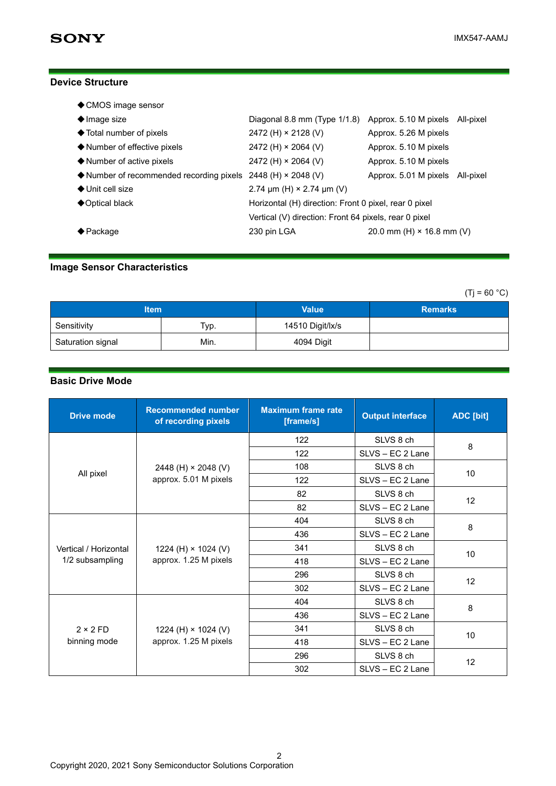### **Device Structure**

| ◆ CMOS image sensor                                                               |                                                              |                                  |  |  |
|-----------------------------------------------------------------------------------|--------------------------------------------------------------|----------------------------------|--|--|
| $\blacklozenge$ Image size                                                        | Diagonal 8.8 mm (Type 1/1.8) Approx. 5.10 M pixels All-pixel |                                  |  |  |
| ◆ Total number of pixels                                                          | 2472 (H) × 2128 (V)                                          | Approx. 5.26 M pixels            |  |  |
| ◆ Number of effective pixels                                                      | 2472 (H) $\times$ 2064 (V)                                   | Approx. 5.10 M pixels            |  |  |
| ♦ Number of active pixels                                                         | 2472 (H) $\times$ 2064 (V)                                   | Approx. 5.10 M pixels            |  |  |
| $\blacklozenge$ Number of recommended recording pixels 2448 (H) $\times$ 2048 (V) |                                                              | Approx. 5.01 M pixels All-pixel  |  |  |
| $\blacklozenge$ Unit cell size                                                    | 2.74 $\mu$ m (H) × 2.74 $\mu$ m (V)                          |                                  |  |  |
| ◆ Optical black                                                                   | Horizontal (H) direction: Front 0 pixel, rear 0 pixel        |                                  |  |  |
|                                                                                   | Vertical (V) direction: Front 64 pixels, rear 0 pixel        |                                  |  |  |
| $\biglozenge$ Package                                                             | 230 pin LGA                                                  | 20.0 mm (H) $\times$ 16.8 mm (V) |  |  |

## **Image Sensor Characteristics**

 $(Ti = 60 °C)$ 

| <b>Item</b>       |      | <b>Value</b>     | <b>Remarks</b> |
|-------------------|------|------------------|----------------|
| Sensitivity       | Тур. | 14510 Digit/lx/s |                |
| Saturation signal | Min. | 4094 Digit       |                |

## **Basic Drive Mode**

| <b>Drive mode</b>                        | <b>Recommended number</b><br>of recording pixels    | <b>Maximum frame rate</b><br>[frame/s] | <b>Output interface</b> | ADC [bit] |
|------------------------------------------|-----------------------------------------------------|----------------------------------------|-------------------------|-----------|
|                                          | 2448 (H) $\times$ 2048 (V)<br>approx. 5.01 M pixels | 122                                    | SLVS 8 ch               | 8         |
|                                          |                                                     | 122                                    | SLVS - EC 2 Lane        |           |
|                                          |                                                     | 108                                    | SLVS 8 ch               | 10        |
| All pixel                                |                                                     | 122                                    | SLVS - EC 2 Lane        |           |
|                                          |                                                     | 82                                     | SLVS 8 ch               |           |
|                                          |                                                     | 82                                     | SLVS - EC 2 Lane        | 12        |
|                                          | 1224 (H) × 1024 (V)<br>approx. 1.25 M pixels        | 404                                    | SLVS 8 ch               | 8         |
| Vertical / Horizontal<br>1/2 subsampling |                                                     | 436                                    | SLVS - EC 2 Lane        |           |
|                                          |                                                     | 341                                    | SLVS 8 ch               | 10        |
|                                          |                                                     | 418                                    | SLVS - EC 2 Lane        |           |
|                                          |                                                     | 296                                    | SLVS 8 ch               |           |
|                                          |                                                     | 302                                    | SLVS - EC 2 Lane        | 12        |
| $2 \times 2$ FD<br>binning mode          | 1224 (H) $\times$ 1024 (V)<br>approx. 1.25 M pixels | 404                                    | SLVS 8 ch               |           |
|                                          |                                                     | 436                                    | SLVS - EC 2 Lane        | 8         |
|                                          |                                                     | 341                                    | SLVS 8 ch               | 10        |
|                                          |                                                     | 418                                    | SLVS - EC 2 Lane        |           |
|                                          |                                                     | 296                                    | SLVS 8 ch               | 12        |
|                                          |                                                     | 302                                    | SLVS - EC 2 Lane        |           |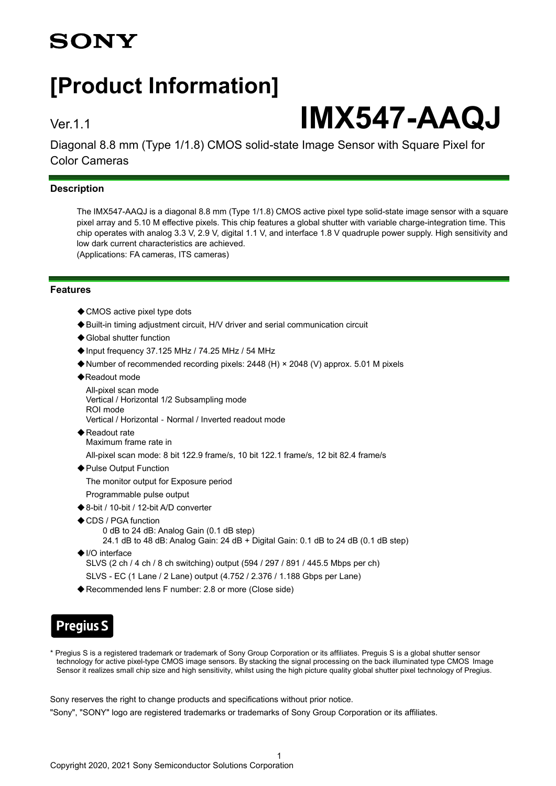## **SONY**

## **[Product Information]**

# Ver.1.1 **IMX547-AAQJ**

Diagonal 8.8 mm (Type 1/1.8) CMOS solid-state Image Sensor with Square Pixel for Color Cameras

## **Description**

The IMX547-AAQJ is a diagonal 8.8 mm (Type 1/1.8) CMOS active pixel type solid-state image sensor with a square pixel array and 5.10 M effective pixels. This chip features a global shutter with variable charge-integration time. This chip operates with analog 3.3 V, 2.9 V, digital 1.1 V, and interface 1.8 V quadruple power supply. High sensitivity and low dark current characteristics are achieved. (Applications: FA cameras, ITS cameras)

**Features**

- ◆ CMOS active pixel type dots
- ◆Built-in timing adjustment circuit, H/V driver and serial communication circuit
- ◆ Global shutter function
- ◆Input frequency 37.125 MHz / 74.25 MHz / 54 MHz
- ◆Number of recommended recording pixels: 2448 (H) × 2048 (V) approx. 5.01 M pixels
- ◆Readout mode

All-pixel scan mode Vertical / Horizontal 1/2 Subsampling mode ROI mode Vertical / Horizontal‐Normal / Inverted readout mode

◆ Readout rate Maximum frame rate in

All-pixel scan mode: 8 bit 122.9 frame/s, 10 bit 122.1 frame/s, 12 bit 82.4 frame/s

◆ Pulse Output Function

The monitor output for Exposure period

- Programmable pulse output
- ◆8-bit / 10-bit / 12-bit A/D converter
- ◆CDS / PGA function 0 dB to 24 dB: Analog Gain (0.1 dB step)
	- 24.1 dB to 48 dB: Analog Gain: 24 dB + Digital Gain: 0.1 dB to 24 dB (0.1 dB step)
- ◆I/O interface SLVS (2 ch / 4 ch / 8 ch switching) output (594 / 297 / 891 / 445.5 Mbps per ch) SLVS - EC (1 Lane / 2 Lane) output (4.752 / 2.376 / 1.188 Gbps per Lane)
- ◆Recommended lens F number: 2.8 or more (Close side)

## **Pregius S**

\* Pregius S is a registered trademark or trademark of Sony Group Corporation or its affiliates. Preguis S is a global shutter sensor technology for active pixel-type CMOS image sensors. By stacking the signal processing on the back illuminated type CMOS Image Sensor it realizes small chip size and high sensitivity, whilst using the high picture quality global shutter pixel technology of Pregius.

Sony reserves the right to change products and specifications without prior notice.

"Sony", "SONY" logo are registered trademarks or trademarks of Sony Group Corporation or its affiliates.